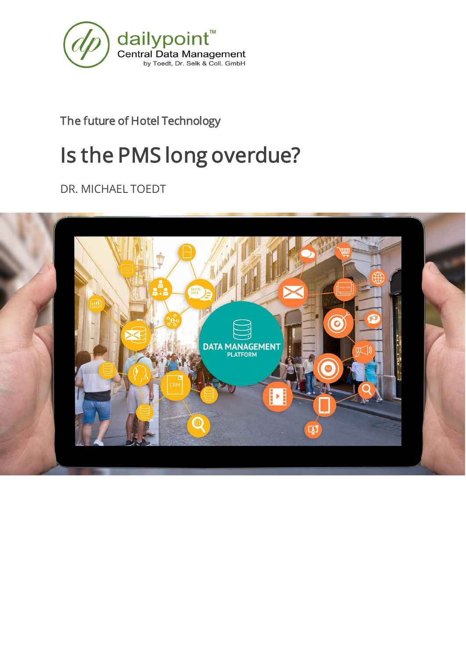

The future of Hotel Technology

# Is the PMS long overdue?

DR. MICHAEL TOEDT

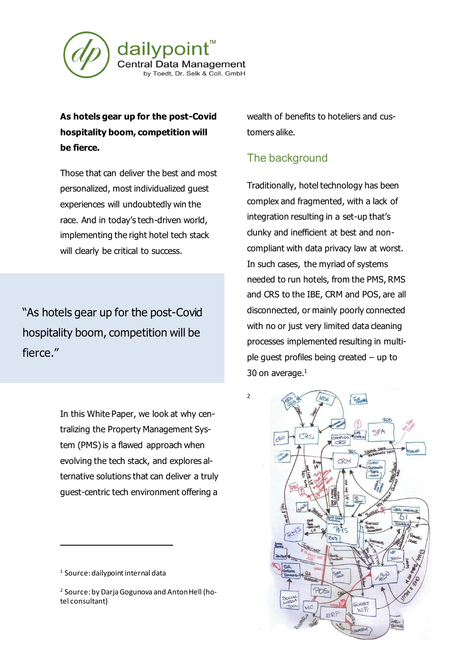

## **As hotels gear up for the post-Covid hospitality boom, competition will be fierce.**

Those that can deliver the best and most personalized, most individualized guest experiences will undoubtedly win the race. And in today's tech-driven world, implementing the right hotel tech stack will clearly be critical to success.

"As hotels gear up for the post-Covid hospitality boom, competition will be fierce."

> In this White Paper, we look at why centralizing the Property Management System (PMS) is a flawed approach when evolving the tech stack, and explores alternative solutions that can deliver a truly guest-centric tech environment offering a

wealth of benefits to hoteliers and customers alike.

### The background

Traditionally, hotel technology has been complex and fragmented, with a lack of integration resulting in a set-up that's clunky and inefficient at best and noncompliant with data privacy law at worst. In such cases, the myriad of systems needed to run hotels, from the PMS, RMS and CRS to the IBE, CRM and POS, are all disconnected, or mainly poorly connected with no or just very limited data cleaning processes implemented resulting in multiple guest profiles being created – up to 30 on average. $<sup>1</sup>$ </sup>



<sup>&</sup>lt;sup>1</sup> Source: dailypoint internal data

<sup>2</sup> Source: by Darja Gogunova and Anton Hell (hotel consultant)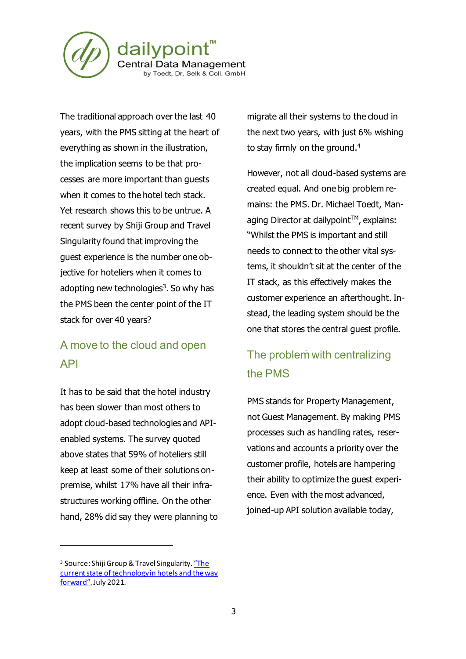

The traditional approach over the last 40 years, with the PMS sitting at the heart of everything as shown in the illustration, the implication seems to be that processes are more important than guests when it comes to the hotel tech stack. Yet research shows this to be untrue. A recent survey by Shiji Group and Travel Singularity found that improving the guest experience is the number one objective for hoteliers when it comes to adopting new technologies<sup>3</sup>. So why has the PMS been the center point of the IT stack for over 40 years?

# A move to the cloud and open API

It has to be said that the hotel industry has been slower than most others to adopt cloud-based technologies and APIenabled systems. The survey quoted above states that 59% of hoteliers still keep at least some of their solutions onpremise, whilst 17% have all their infrastructures working offline. On the other hand, 28% did say they were planning to migrate all their systems to the cloud in the next two years, with just 6% wishing to stay firmly on the ground.<sup>4</sup>

However, not all cloud-based systems are created equal. And one big problem remains: the PMS. Dr. Michael Toedt, Managing Director at dailypoint™, explains: "Whilst the PMS is important and still needs to connect to the other vital systems, it shouldn't sit at the center of the IT stack, as this effectively makes the customer experience an afterthought. Instead, the leading system should be the one that stores the central guest profile.

# The problem with centralizing the PMS

PMS stands for Property Management, not Guest Management. By making PMS processes such as handling rates, reservations and accounts a priority over the customer profile, hotels are hampering their ability to optimize the guest experience. Even with the most advanced, joined-up API solution available today,

<sup>&</sup>lt;sup>3</sup> Source: Shiji Group & Travel Singularity. "The [current state of technology in hotels and the way](https://www.techtalk.travel/post/market-study-major-hotel-technology-trends)  [forward".](https://www.techtalk.travel/post/market-study-major-hotel-technology-trends)July 2021.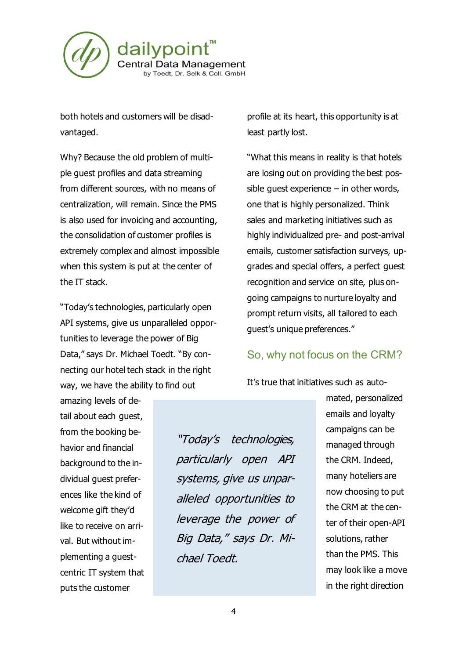

both hotels and customers will be disadvantaged.

Why? Because the old problem of multiple guest profiles and data streaming from different sources, with no means of centralization, will remain. Since the PMS is also used for invoicing and accounting, the consolidation of customer profiles is extremely complex and almost impossible when this system is put at the center of the IT stack.

"Today's technologies, particularly open API systems, give us unparalleled opportunities to leverage the power of Big Data," says Dr. Michael Toedt. "By connecting our hotel tech stack in the right way, we have the ability to find out

profile at its heart, this opportunity is at least partly lost.

"What this means in reality is that hotels are losing out on providing the best possible guest experience  $-$  in other words, one that is highly personalized. Think sales and marketing initiatives such as highly individualized pre- and post-arrival emails, customer satisfaction surveys, upgrades and special offers, a perfect guest recognition and service on site, plus ongoing campaigns to nurture loyalty and prompt return visits, all tailored to each guest's unique preferences."

#### So, why not focus on the CRM?

It's true that initiatives such as auto-

amazing levels of detail about each guest, from the booking behavior and financial background to the individual guest preferences like the kind of welcome gift they'd like to receive on arrival. But without implementing a guestcentric IT system that puts the customer

"Today's technologies, particularly open API systems, give us unparalleled opportunities to leverage the power of Big Data," says Dr. Michael Toedt.

mated, personalized emails and loyalty campaigns can be managed through the CRM. Indeed, many hoteliers are now choosing to put the CRM at the center of their open-API solutions, rather than the PMS. This may look like a move in the right direction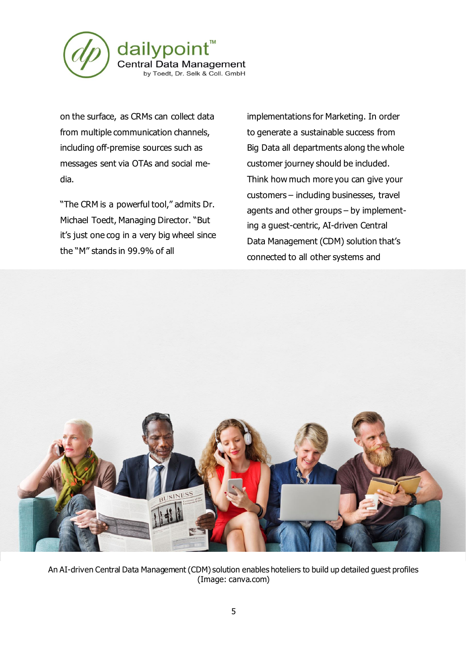

on the surface, as CRMs can collect data from multiple communication channels, including off-premise sources such as messages sent via OTAs and social media.

"The CRM is a powerful tool," admits Dr. Michael Toedt, Managing Director. "But it's just one cog in a very big wheel since the "M" stands in 99.9% of all

implementations for Marketing. In order to generate a sustainable success from Big Data all departments along the whole customer journey should be included. Think how much more you can give your customers – including businesses, travel agents and other groups – by implementing a guest-centric, AI-driven Central Data Management (CDM) solution that's connected to all other systems and



An AI-driven Central Data Management (CDM) solution enables hoteliers to build up detailed guest profiles (Image: canva.com)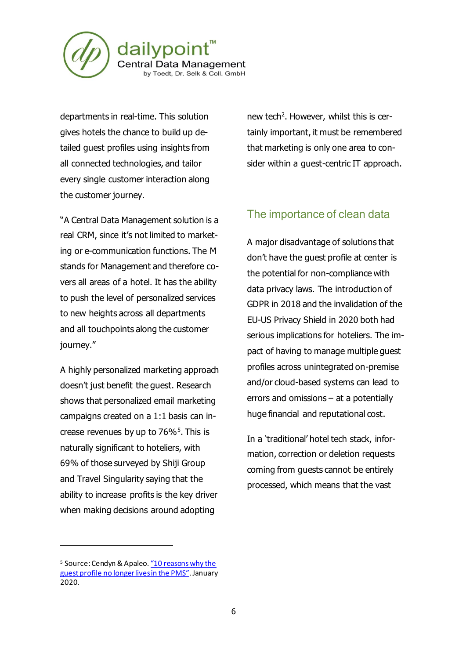

departments in real-time. This solution gives hotels the chance to build up detailed guest profiles using insights from all connected technologies, and tailor every single customer interaction along the customer journey.

"A Central Data Management solution is a real CRM, since it's not limited to marketing or e-communication functions. The M stands for Management and therefore covers all areas of a hotel. It has the ability to push the level of personalized services to new heights across all departments and all touchpoints along the customer journey."

A highly personalized marketing approach doesn't just benefit the guest. Research shows that personalized email marketing campaigns created on a 1:1 basis can increase revenues by up to  $76\%$ <sup>5</sup>. This is naturally significant to hoteliers, with 69% of those surveyed by Shiji Group and Travel Singularity saying that the ability to increase profits is the key driver when making decisions around adopting

new tech<sup>2</sup>. However, whilst this is certainly important, it must be remembered that marketing is only one area to consider within a guest-centric IT approach.

## The importance of clean data

A major disadvantage of solutions that don't have the guest profile at center is the potential for non-compliance with data privacy laws. The introduction of GDPR in 2018 and the invalidation of the EU-US Privacy Shield in 2020 both had serious implications for hoteliers. The impact of having to manage multiple guest profiles across unintegrated on-premise and/or cloud-based systems can lead to errors and omissions – at a potentially huge financial and reputational cost.

In a 'traditional' hotel tech stack, information, correction or deletion requests coming from guests cannot be entirely processed, which means that the vast

<sup>&</sup>lt;sup>5</sup> Source: Cendyn & Apaleo. "10 reasons why the [guest profile no longer lives in the PMS"](https://www.cendyn.com/library/10-reasons-why-the-guest-profile-no-longer-lives-in-the-pms/). January 2020.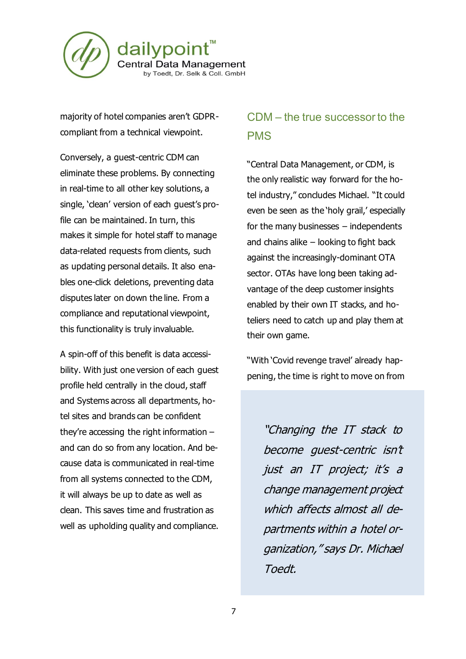

majority of hotel companies aren't GDPRcompliant from a technical viewpoint.

Conversely, a guest-centric CDM can eliminate these problems. By connecting in real-time to all other key solutions, a single, 'clean' version of each guest's profile can be maintained. In turn, this makes it simple for hotel staff to manage data-related requests from clients, such as updating personal details. It also enables one-click deletions, preventing data disputes later on down the line. From a compliance and reputational viewpoint, this functionality is truly invaluable.

A spin-off of this benefit is data accessibility. With just one version of each guest profile held centrally in the cloud, staff and Systems across all departments, hotel sites and brands can be confident they're accessing the right information – and can do so from any location. And because data is communicated in real-time from all systems connected to the CDM, it will always be up to date as well as clean. This saves time and frustration as well as upholding quality and compliance.

## CDM – the true successor to the PMS

"Central Data Management, or CDM, is the only realistic way forward for the hotel industry," concludes Michael. "It could even be seen as the 'holy grail,' especially for the many businesses – independents and chains alike – looking to fight back against the increasingly-dominant OTA sector. OTAs have long been taking advantage of the deep customer insights enabled by their own IT stacks, and hoteliers need to catch up and play them at their own game.

"With 'Covid revenge travel' already happening, the time is right to move on from

"Changing the IT stack to become guest-centric isn't just an IT project; it's a change management project which affects almost all departments within a hotel organization," says Dr. Michael Toedt.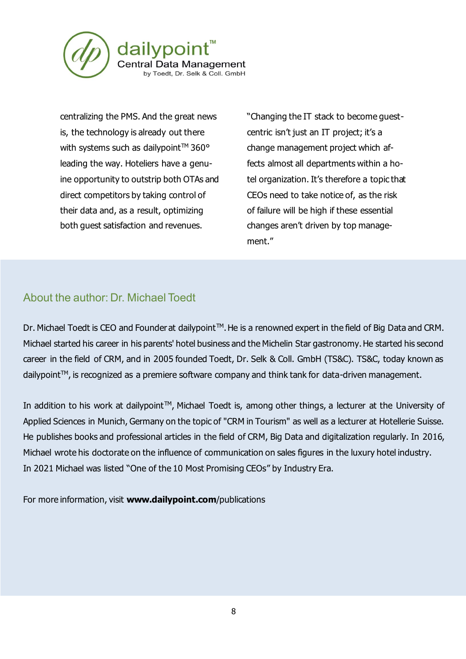

centralizing the PMS. And the great news is, the technology is already out there with systems such as dailypoint<sup>TM</sup> 360 $^{\circ}$ leading the way. Hoteliers have a genuine opportunity to outstrip both OTAs and direct competitors by taking control of their data and, as a result, optimizing both guest satisfaction and revenues.

"Changing the IT stack to become guestcentric isn't just an IT project; it's a change management project which affects almost all departments within a hotel organization. It's therefore a topic that CEOs need to take notice of, as the risk of failure will be high if these essential changes aren't driven by top management."

## About the author: Dr. Michael Toedt

Dr. Michael Toedt is CEO and Founder at dailypoint<sup>™</sup>. He is a renowned expert in the field of Big Data and CRM. Michael started his career in his parents' hotel business and the Michelin Star gastronomy. He started his second career in the field of CRM, and in 2005 founded Toedt, Dr. Selk & Coll. GmbH (TS&C). TS&C, today known as dailypoint™, is recognized as a premiere software company and think tank for data-driven management.

In addition to his work at dailypoint™, Michael Toedt is, among other things, a lecturer at the University of Applied Sciences in Munich, Germany on the topic of "CRM in Tourism" as well as a lecturer at Hotellerie Suisse. He publishes books and professional articles in the field of CRM, Big Data and digitalization regularly. In 2016, Michael wrote his doctorate on the influence of communication on sales figures in the luxury hotel industry. In 2021 Michael was listed "One of the 10 Most Promising CEOs" by Industry Era.

For more information, visit **[www.dailypoint.com](http://www.dailypoint.net/)**/publications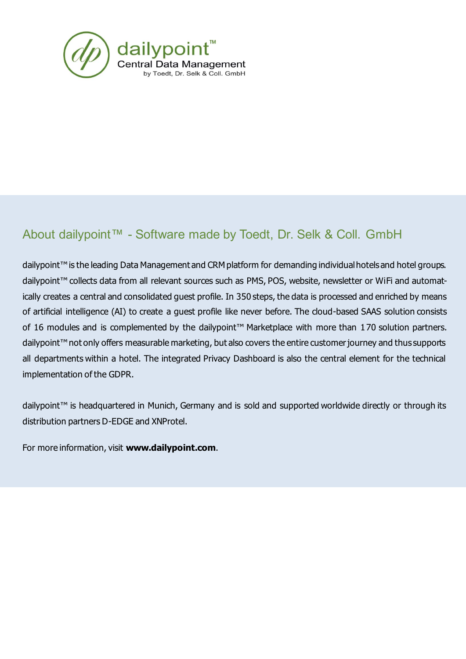

# About dailypoint™ - Software made by Toedt, Dr. Selk & Coll. GmbH

dailypoint™ is the leading Data Management and CRM platform for demanding individual hotels and hotel groups. dailypoint™ collects data from all relevant sources such as PMS, POS, website, newsletter or WiFi and automatically creates a central and consolidated guest profile. In 350 steps, the data is processed and enriched by means of artificial intelligence (AI) to create a guest profile like never before. The cloud-based SAAS solution consists of 16 modules and is complemented by the dailypoint™ Marketplace with more than 170 solution partners. dailypoint<sup>™</sup> not only offers measurable marketing, but also covers the entire customer journey and thus supports all departments within a hotel. The integrated Privacy Dashboard is also the central element for the technical implementation of the GDPR.

dailypoint<sup>™</sup> is headquartered in Munich, Germany and is sold and supported worldwide directly or through its distribution partners D-EDGE and XNProtel.

For more information, visit **[www.dailypoint.com](http://www.dailypoint.net/)**.